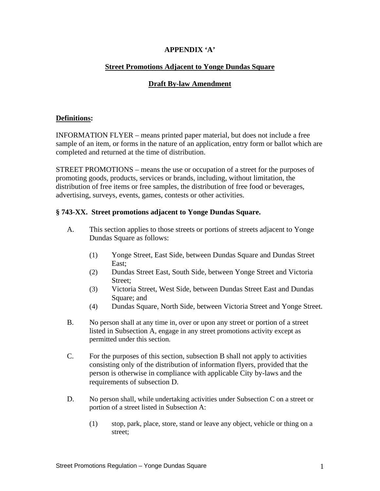# **APPENDIX 'A'**

### **Street Promotions Adjacent to Yonge Dundas Square**

### **Draft By-law Amendment**

## **Definitions:**

INFORMATION FLYER – means printed paper material, but does not include a free sample of an item, or forms in the nature of an application, entry form or ballot which are completed and returned at the time of distribution.

STREET PROMOTIONS – means the use or occupation of a street for the purposes of promoting goods, products, services or brands, including, without limitation, the distribution of free items or free samples, the distribution of free food or beverages, advertising, surveys, events, games, contests or other activities.

#### **§ 743-XX. Street promotions adjacent to Yonge Dundas Square.**

- A. This section applies to those streets or portions of streets adjacent to Yonge Dundas Square as follows:
	- (1) Yonge Street, East Side, between Dundas Square and Dundas Street East;
	- (2) Dundas Street East, South Side, between Yonge Street and Victoria Street;
	- (3) Victoria Street, West Side, between Dundas Street East and Dundas Square; and state and state and state and state and state and state and state and state and state and state and state and state and state and state and state and state and state and state and state and state and state and
	- (4) Dundas Square, North Side, between Victoria Street and Yonge Street.
- B. No person shall at any time in, over or upon any street or portion of a street listed in Subsection A, engage in any street promotions activity except as permitted under this section.
- C. For the purposes of this section, subsection B shall not apply to activities consisting only of the distribution of information flyers, provided that the person is otherwise in compliance with applicable City by-laws and the requirements of subsection D.
- D. No person shall, while undertaking activities under Subsection C on a street or portion of a street listed in Subsection A:
	- (1) stop, park, place, store, stand or leave any object, vehicle or thing on a street;